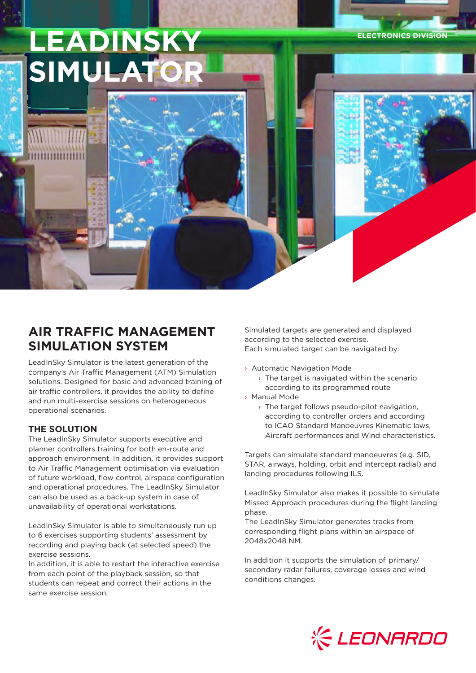**LEADINSKY SIMULATOR**

**AIR TRAFFIC MANAGEMENT SIMULATION SYSTEM**

LeadInSky Simulator is the latest generation of the company's Air Traffic Management (ATM) Simulation solutions. Designed for basic and advanced training of air traffic controllers, it provides the ability to define and run multi-exercise sessions on heterogeneous operational scenarios.

## **THE SOLUTION**

The LeadInSky Simulator supports executive and planner controllers training for both en-route and approach environment. In addition, it provides support to Air Traffic Management optimisation via evaluation of future workload, flow control, airspace configuration and operational procedures. The LeadInSky Simulator can also be used as a back-up system in case of unavailability of operational workstations.

LeadInSky Simulator is able to simultaneously run up to 6 exercises supporting students' assessment by recording and playing back (at selected speed) the exercise sessions.

In addition, it is able to restart the interactive exercise from each point of the playback session, so that students can repeat and correct their actions in the same exercise session.

Simulated targets are generated and displayed according to the selected exercise. Each simulated target can be navigated by:

- › Automatic Navigation Mode
	- $\rightarrow$  The target is navigated within the scenario according to its programmed route
- › Manual Mode
	- › The target follows pseudo-pilot navigation, according to controller orders and according to ICAO Standard Manoeuvres Kinematic laws, Aircraft performances and Wind characteristics.

**ELECTRONICS DIVISION**

Targets can simulate standard manoeuvres (e.g. SID, STAR, airways, holding, orbit and intercept radial) and landing procedures following ILS.

LeadInSky Simulator also makes it possible to simulate Missed Approach procedures during the flight landing phase.

The LeadInSky Simulator generates tracks from corresponding flight plans within an airspace of 2048x2048 NM.

In addition it supports the simulation of primary/ secondary radar failures, coverage losses and wind conditions changes.